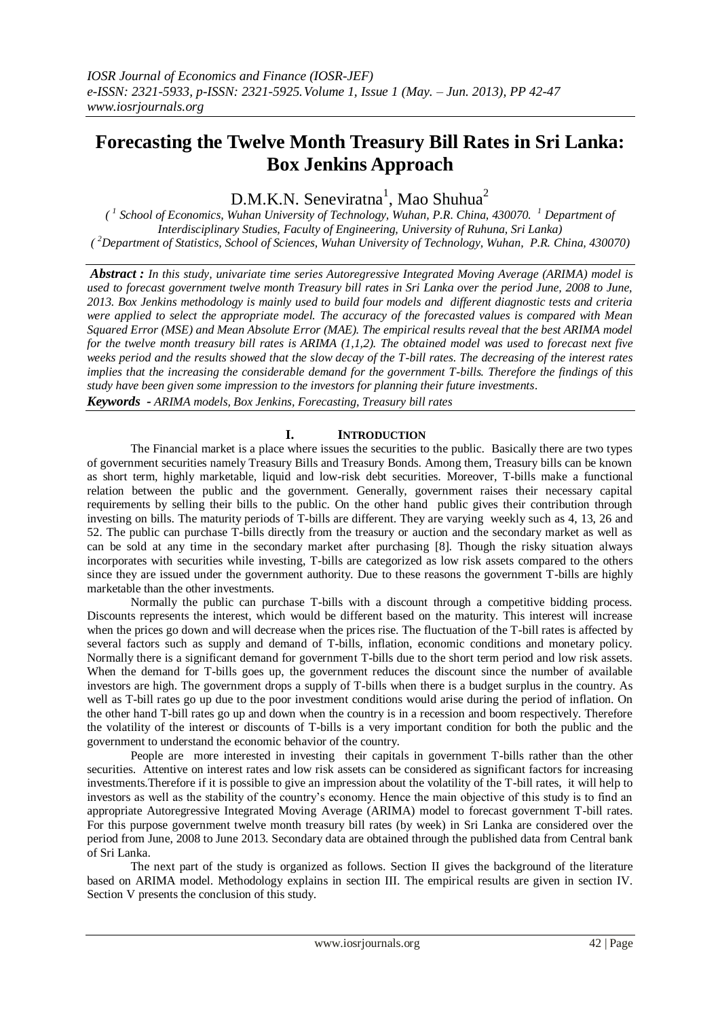# **Forecasting the Twelve Month Treasury Bill Rates in Sri Lanka: Box Jenkins Approach**

 $D.M.K.N.$  Seneviratna<sup>1</sup>, Mao Shuhua<sup>2</sup>

*( 1 School of Economics, Wuhan University of Technology, Wuhan, P.R. China, 430070. <sup>1</sup> Department of Interdisciplinary Studies, Faculty of Engineering, University of Ruhuna, Sri Lanka) ( <sup>2</sup>Department of Statistics, School of Sciences, Wuhan University of Technology, Wuhan, P.R. China, 430070)*

*Abstract : In this study, univariate time series Autoregressive Integrated Moving Average (ARIMA) model is used to forecast government twelve month Treasury bill rates in Sri Lanka over the period June, 2008 to June, 2013. Box Jenkins methodology is mainly used to build four models and different diagnostic tests and criteria were applied to select the appropriate model. The accuracy of the forecasted values is compared with Mean Squared Error (MSE) and Mean Absolute Error (MAE). The empirical results reveal that the best ARIMA model for the twelve month treasury bill rates is ARIMA (1,1,2). The obtained model was used to forecast next five weeks period and the results showed that the slow decay of the T-bill rates. The decreasing of the interest rates implies that the increasing the considerable demand for the government T-bills. Therefore the findings of this study have been given some impression to the investors for planning their future investments.* 

*Keywords - ARIMA models, Box Jenkins, Forecasting, Treasury bill rates*

# **I. INTRODUCTION**

The Financial market is a place where issues the securities to the public. Basically there are two types of government securities namely Treasury Bills and Treasury Bonds. Among them, Treasury bills can be known as short term, highly marketable, liquid and low-risk debt securities. Moreover, T-bills make a functional relation between the public and the government. Generally, government raises their necessary capital requirements by selling their bills to the public. On the other hand public gives their contribution through investing on bills. The maturity periods of T-bills are different. They are varying weekly such as 4, 13, 26 and 52. The public can purchase T-bills directly from the treasury or auction and the secondary market as well as can be sold at any time in the secondary market after purchasing [8]. Though the risky situation always incorporates with securities while investing, T-bills are categorized as low risk assets compared to the others since they are issued under the government authority. Due to these reasons the government T-bills are highly marketable than the other investments.

Normally the public can purchase T-bills with a discount through a competitive bidding process. Discounts represents the interest, which would be different based on the maturity. This interest will increase when the prices go down and will decrease when the prices rise. The fluctuation of the T-bill rates is affected by several factors such as supply and demand of T-bills, inflation, economic conditions and monetary policy. Normally there is a significant demand for government T-bills due to the short term period and low risk assets. When the demand for T-bills goes up, the government reduces the discount since the number of available investors are high. The government drops a supply of T-bills when there is a budget surplus in the country. As well as T-bill rates go up due to the poor investment conditions would arise during the period of inflation. On the other hand T-bill rates go up and down when the country is in a recession and boom respectively. Therefore the volatility of the interest or discounts of T-bills is a very important condition for both the public and the government to understand the economic behavior of the country.

People are more interested in investing their capitals in government T-bills rather than the other securities. Attentive on interest rates and low risk assets can be considered as significant factors for increasing investments.Therefore if it is possible to give an impression about the volatility of the T-bill rates, it will help to investors as well as the stability of the country's economy. Hence the main objective of this study is to find an appropriate Autoregressive Integrated Moving Average (ARIMA) model to forecast government T-bill rates. For this purpose government twelve month treasury bill rates (by week) in Sri Lanka are considered over the period from June, 2008 to June 2013. Secondary data are obtained through the published data from Central bank of Sri Lanka.

The next part of the study is organized as follows. Section II gives the background of the literature based on ARIMA model. Methodology explains in section III. The empirical results are given in section IV. Section V presents the conclusion of this study.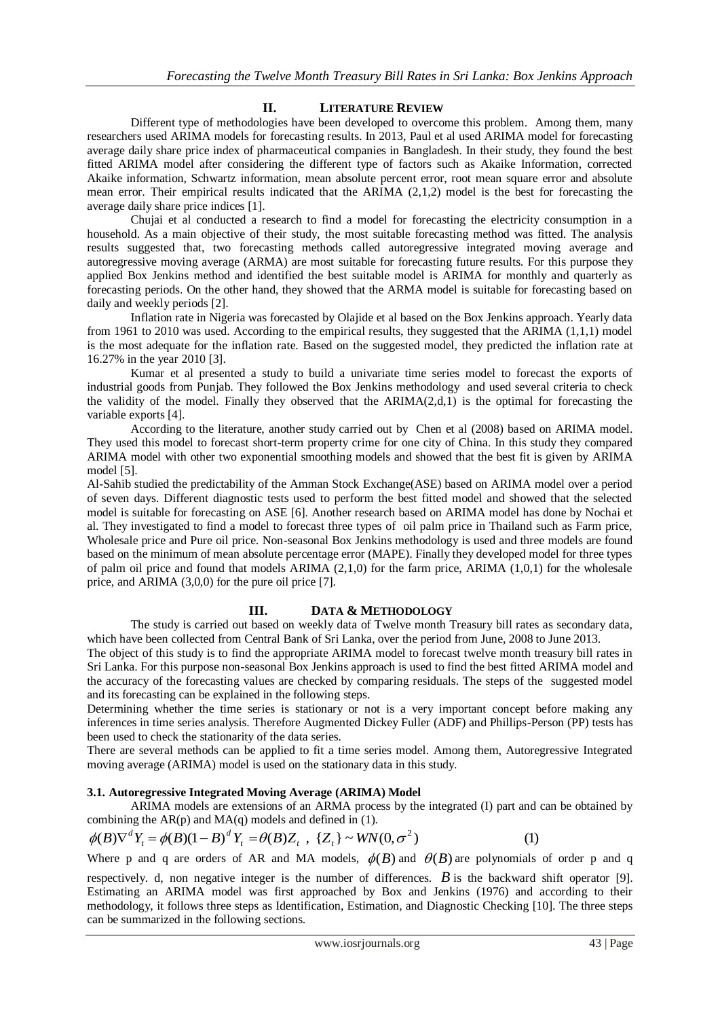# **II. LITERATURE REVIEW**

Different type of methodologies have been developed to overcome this problem. Among them, many researchers used ARIMA models for forecasting results. In 2013, Paul et al used ARIMA model for forecasting average daily share price index of pharmaceutical companies in Bangladesh. In their study, they found the best fitted ARIMA model after considering the different type of factors such as Akaike Information, corrected Akaike information, Schwartz information, mean absolute percent error, root mean square error and absolute mean error. Their empirical results indicated that the ARIMA (2,1,2) model is the best for forecasting the average daily share price indices [1].

Chujai et al conducted a research to find a model for forecasting the electricity consumption in a household. As a main objective of their study, the most suitable forecasting method was fitted. The analysis results suggested that, two forecasting methods called autoregressive integrated moving average and autoregressive moving average (ARMA) are most suitable for forecasting future results. For this purpose they applied Box Jenkins method and identified the best suitable model is ARIMA for monthly and quarterly as forecasting periods. On the other hand, they showed that the ARMA model is suitable for forecasting based on daily and weekly periods [2].

Inflation rate in Nigeria was forecasted by Olajide et al based on the Box Jenkins approach. Yearly data from 1961 to 2010 was used. According to the empirical results, they suggested that the ARIMA (1,1,1) model is the most adequate for the inflation rate. Based on the suggested model, they predicted the inflation rate at 16.27% in the year 2010 [3].

Kumar et al presented a study to build a univariate time series model to forecast the exports of industrial goods from Punjab. They followed the Box Jenkins methodology and used several criteria to check the validity of the model. Finally they observed that the  $ARIMA(2,d,1)$  is the optimal for forecasting the variable exports [4].

According to the literature, another study carried out by Chen et al (2008) based on ARIMA model. They used this model to forecast short-term property crime for one city of China. In this study they compared ARIMA model with other two exponential smoothing models and showed that the best fit is given by ARIMA model [5].

Al-Sahib studied the predictability of the Amman Stock Exchange(ASE) based on ARIMA model over a period of seven days. Different diagnostic tests used to perform the best fitted model and showed that the selected model is suitable for forecasting on ASE [6]. Another research based on ARIMA model has done by Nochai et al. They investigated to find a model to forecast three types of oil palm price in Thailand such as Farm price, Wholesale price and Pure oil price. Non-seasonal Box Jenkins methodology is used and three models are found based on the minimum of mean absolute percentage error (MAPE). Finally they developed model for three types of palm oil price and found that models ARIMA  $(2,1,0)$  for the farm price, ARIMA  $(1,0,1)$  for the wholesale price, and ARIMA (3,0,0) for the pure oil price [7].

# **III. DATA & METHODOLOGY**

The study is carried out based on weekly data of Twelve month Treasury bill rates as secondary data,

which have been collected from Central Bank of Sri Lanka, over the period from June, 2008 to June 2013. The object of this study is to find the appropriate ARIMA model to forecast twelve month treasury bill rates in Sri Lanka. For this purpose non-seasonal Box Jenkins approach is used to find the best fitted ARIMA model and the accuracy of the forecasting values are checked by comparing residuals. The steps of the suggested model and its forecasting can be explained in the following steps.

Determining whether the time series is stationary or not is a very important concept before making any inferences in time series analysis. Therefore Augmented Dickey Fuller (ADF) and Phillips-Person (PP) tests has been used to check the stationarity of the data series.

There are several methods can be applied to fit a time series model. Among them, Autoregressive Integrated moving average (ARIMA) model is used on the stationary data in this study.

# **3.1. Autoregressive Integrated Moving Average (ARIMA) Model**

ARIMA models are extensions of an ARMA process by the integrated (I) part and can be obtained by combining the  $AR(p)$  and  $MA(q)$  models and defined in (1).

$$
\phi(B)\nabla^d Y_t = \phi(B)(1-B)^d Y_t = \theta(B)Z_t, \quad \{Z_t\} \sim WW(0,\sigma^2)
$$
 (1)

Where p and q are orders of AR and MA models,  $\phi(B)$  and  $\theta(B)$  are polynomials of order p and q

respectively. d, non negative integer is the number of differences.  $\vec{B}$  is the backward shift operator [9]. Estimating an ARIMA model was first approached by Box and Jenkins (1976) and according to their methodology, it follows three steps as Identification, Estimation, and Diagnostic Checking [10]. The three steps can be summarized in the following sections.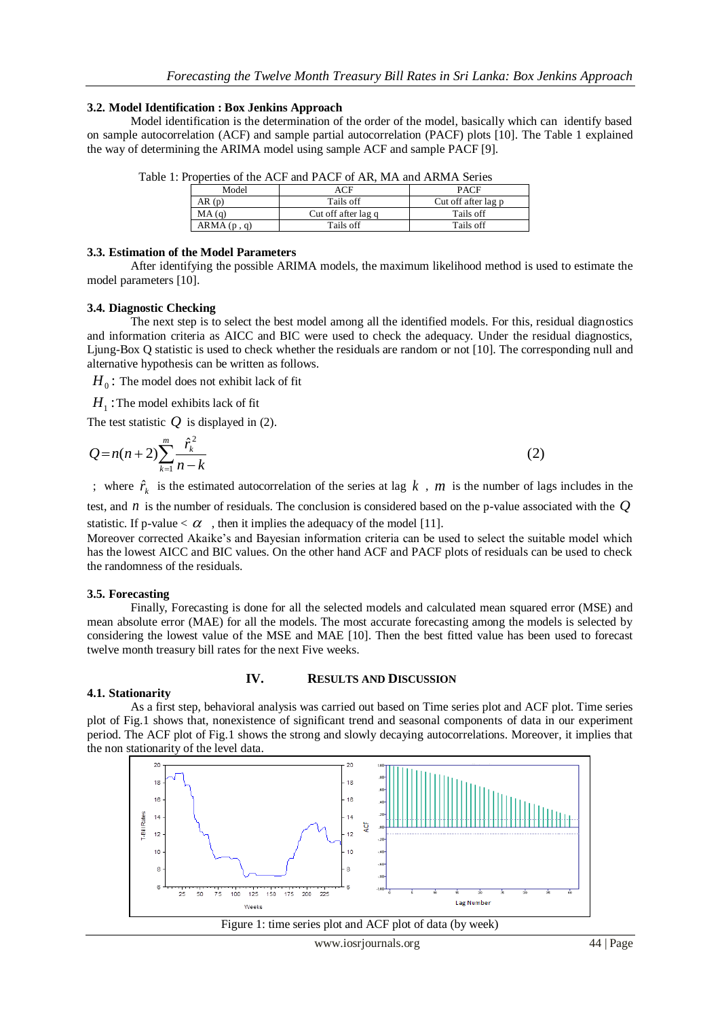#### **3.2. Model Identification : Box Jenkins Approach**

Model identification is the determination of the order of the model, basically which can identify based on sample autocorrelation (ACF) and sample partial autocorrelation (PACF) plots [10]. The Table 1 explained the way of determining the ARIMA model using sample ACF and sample PACF [9].

| $\alpha$ and $\alpha$ is the $\alpha$ and $\alpha$ and $\alpha$ and $\alpha$ and $\alpha$ and $\alpha$ and $\alpha$ and $\alpha$ |            |                     |                     |  |  |
|----------------------------------------------------------------------------------------------------------------------------------|------------|---------------------|---------------------|--|--|
|                                                                                                                                  | Model      |                     | <b>PACF</b>         |  |  |
|                                                                                                                                  | AR(p)      | Tails off           | Cut off after lag p |  |  |
|                                                                                                                                  | MA(q)      | Cut off after lag q | Tails off           |  |  |
|                                                                                                                                  | ARMA(p, q) | Tails off           | Tails off           |  |  |

Table 1: Properties of the ACF and PACF of AR, MA and ARMA Series

# **3.3. Estimation of the Model Parameters**

After identifying the possible ARIMA models, the maximum likelihood method is used to estimate the model parameters [10].

# **3.4. Diagnostic Checking**

The next step is to select the best model among all the identified models. For this, residual diagnostics and information criteria as AICC and BIC were used to check the adequacy. Under the residual diagnostics, Ljung-Box Q statistic is used to check whether the residuals are random or not [10]. The corresponding null and alternative hypothesis can be written as follows.

 $\overline{H}_0$  : The model does not exhibit lack of fit

 $H^{\pm}_1$  : The model exhibits lack of fit

The test statistic  $Q$  is displayed in (2).

$$
Q = n(n+2) \sum_{k=1}^{m} \frac{\hat{r}_k^2}{n-k}
$$
 (2)

; where  $\hat{r}_k$  is the estimated autocorrelation of the series at lag k, m is the number of lags includes in the

test, and *n* is the number of residuals. The conclusion is considered based on the p-value associated with the *Q* statistic. If p-value  $< \alpha$ , then it implies the adequacy of the model [11].

Moreover corrected Akaike's and Bayesian information criteria can be used to select the suitable model which has the lowest AICC and BIC values. On the other hand ACF and PACF plots of residuals can be used to check the randomness of the residuals.

# **3.5. Forecasting**

Finally, Forecasting is done for all the selected models and calculated mean squared error (MSE) and mean absolute error (MAE) for all the models. The most accurate forecasting among the models is selected by considering the lowest value of the MSE and MAE [10]. Then the best fitted value has been used to forecast twelve month treasury bill rates for the next Five weeks.

# **IV. RESULTS AND DISCUSSION**

#### **4.1. Stationarity**

As a first step, behavioral analysis was carried out based on Time series plot and ACF plot. Time series plot of Fig.1 shows that, nonexistence of significant trend and seasonal components of data in our experiment period. The ACF plot of Fig.1 shows the strong and slowly decaying autocorrelations. Moreover, it implies that the non stationarity of the level data.



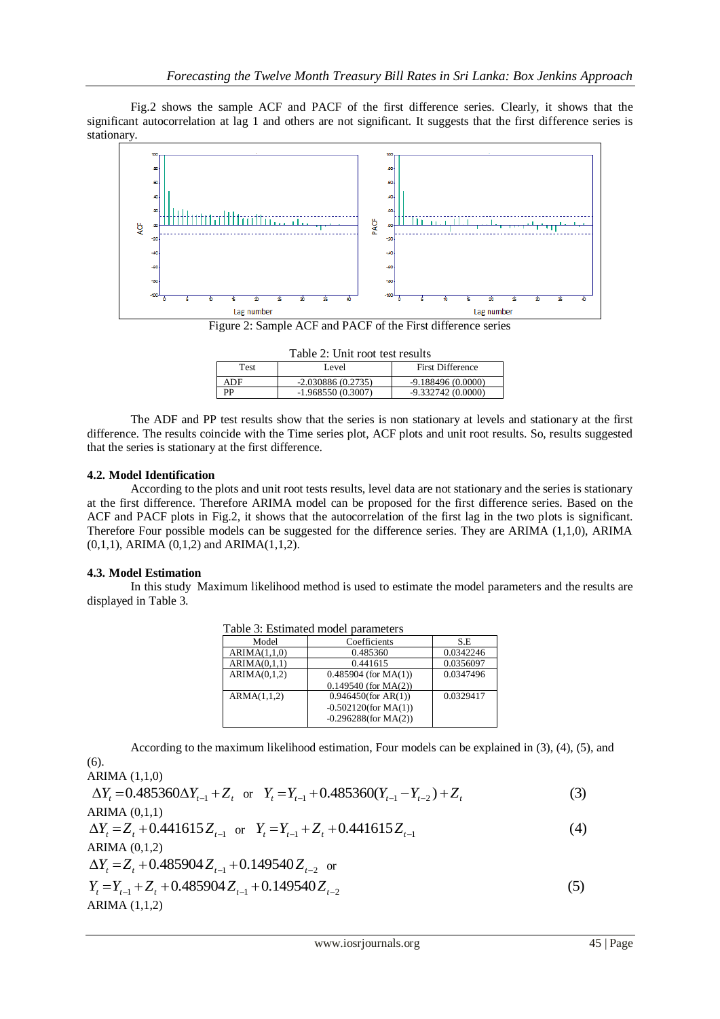Fig.2 shows the sample ACF and PACF of the first difference series. Clearly, it shows that the significant autocorrelation at lag 1 and others are not significant. It suggests that the first difference series is stationary.



Figure 2: Sample ACF and PACF of the First difference series

| Table 2: Unit root test results |                     |                         |  |  |
|---------------------------------|---------------------|-------------------------|--|--|
| Test                            | Level               | <b>First Difference</b> |  |  |
| ADF                             | $-2.030886(0.2735)$ | $-9.188496(0.0000)$     |  |  |
| РP                              | $-1.968550(0.3007)$ | $-9.332742(0.0000)$     |  |  |

The ADF and PP test results show that the series is non stationary at levels and stationary at the first difference. The results coincide with the Time series plot, ACF plots and unit root results. So, results suggested that the series is stationary at the first difference.

# **4.2. Model Identification**

According to the plots and unit root tests results, level data are not stationary and the series is stationary at the first difference. Therefore ARIMA model can be proposed for the first difference series. Based on the ACF and PACF plots in Fig.2, it shows that the autocorrelation of the first lag in the two plots is significant. Therefore Four possible models can be suggested for the difference series. They are ARIMA (1,1,0), ARIMA (0,1,1), ARIMA (0,1,2) and ARIMA(1,1,2).

# **4.3. Model Estimation**

(6).

In this study Maximum likelihood method is used to estimate the model parameters and the results are displayed in Table 3.

| Table 5. Estimated moder barameters |                         |           |  |  |
|-------------------------------------|-------------------------|-----------|--|--|
| Model                               | Coefficients            | S.E       |  |  |
| ARIMA(1,1,0)                        | 0.485360                | 0.0342246 |  |  |
| ARIMA(0,1,1)                        | 0.441615                | 0.0356097 |  |  |
| ARIMA(0,1,2)                        | $0.485904$ (for MA(1))  | 0.0347496 |  |  |
|                                     | $0.149540$ (for MA(2))  |           |  |  |
| ARMA(1,1,2)                         | $0.946450$ (for AR(1))  | 0.0329417 |  |  |
|                                     | $-0.502120$ (for MA(1)) |           |  |  |
|                                     | $-0.296288$ (for MA(2)) |           |  |  |

Table 3: Estimated model parameters

According to the maximum likelihood estimation, Four models can be explained in (3), (4), (5), and

ARIMA (1,1,0)  $\Delta Y_t = 0.485360\Delta Y_{t-1} + Z_t$  or  $Y_t = Y_{t-1} + 0.485360(Y_{t-1} - Y_{t-2}) + Z_t$  (3) ARIMA (0,1,1)  $\Delta Y_t = Z_t + 0.441615 Z_{t-1}$  or  $Y_t = Y_{t-1} + Z_t + 0.441615 Z_{t-1}$  (4) ARIMA (0,1,2)  $\Delta Y_t = Z_t + 0.485904 Z_{t-1} + 0.149540 Z_{t-2}$  or  $Y_t = Y_{t-1} + Z_t + 0.485904 Z_{t-1} + 0.149540 Z_{t-2}$  (5) ARIMA (1,1,2)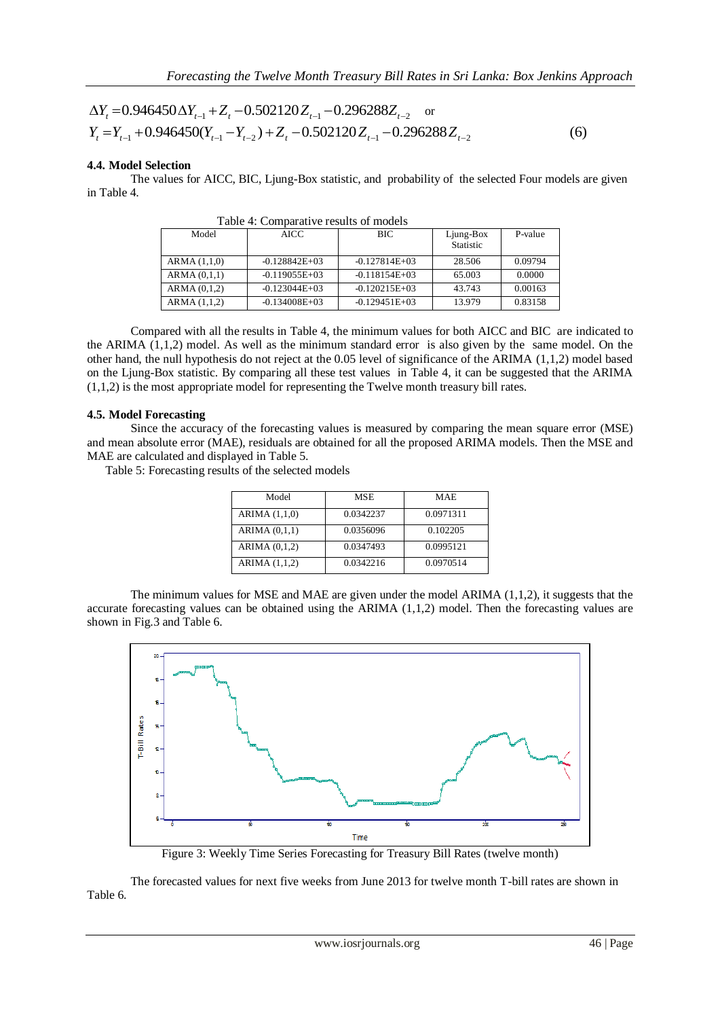$$
\Delta Y_t = 0.946450 \Delta Y_{t-1} + Z_t - 0.502120 Z_{t-1} - 0.296288 Z_{t-2} \text{ or}
$$
  
\n
$$
Y_t = Y_{t-1} + 0.946450(Y_{t-1} - Y_{t-2}) + Z_t - 0.502120 Z_{t-1} - 0.296288 Z_{t-2}
$$
 (6)

# **4.4. Model Selection**

The values for AICC, BIC, Ljung-Box statistic, and probability of the selected Four models are given in Table 4.

| Model        | AICC.           | BIC             | Ljung-Box<br>Statistic | P-value |
|--------------|-----------------|-----------------|------------------------|---------|
| ARMA (1,1,0) | $-0.128842E+03$ | $-0.127814E+03$ | 28.506                 | 0.09794 |
| ARMA (0,1,1) | $-0.119055E+03$ | $-0.118154E+03$ | 65.003                 | 0.0000  |
| ARMA (0,1,2) | $-0.123044E+03$ | $-0.120215E+03$ | 43.743                 | 0.00163 |
| ARMA (1,1,2) | $-0.134008E+03$ | $-0.129451E+03$ | 13.979                 | 0.83158 |

Table 4: Comparative results of models

Compared with all the results in Table 4, the minimum values for both AICC and BIC are indicated to the ARIMA (1,1,2) model. As well as the minimum standard error is also given by the same model. On the other hand, the null hypothesis do not reject at the 0.05 level of significance of the ARIMA (1,1,2) model based on the Ljung-Box statistic. By comparing all these test values in Table 4, it can be suggested that the ARIMA (1,1,2) is the most appropriate model for representing the Twelve month treasury bill rates.

# **4.5. Model Forecasting**

Since the accuracy of the forecasting values is measured by comparing the mean square error (MSE) and mean absolute error (MAE), residuals are obtained for all the proposed ARIMA models. Then the MSE and MAE are calculated and displayed in Table 5.

Table 5: Forecasting results of the selected models

| Model           | MSE       | <b>MAE</b> |
|-----------------|-----------|------------|
| ARIMA $(1,1,0)$ | 0.0342237 | 0.0971311  |
| ARIMA(0,1,1)    | 0.0356096 | 0.102205   |
| ARIMA $(0,1,2)$ | 0.0347493 | 0.0995121  |
| ARIMA (1,1,2)   | 0.0342216 | 0.0970514  |

The minimum values for MSE and MAE are given under the model ARIMA (1,1,2), it suggests that the accurate forecasting values can be obtained using the ARIMA  $(1,1,2)$  model. Then the forecasting values are shown in Fig.3 and Table 6.



Figure 3: Weekly Time Series Forecasting for Treasury Bill Rates (twelve month)

The forecasted values for next five weeks from June 2013 for twelve month T-bill rates are shown in Table 6.